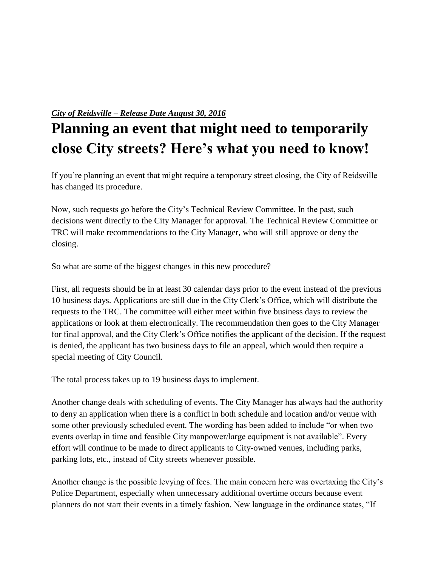## *City of Reidsville – Release Date August 30, 2016*

## **Planning an event that might need to temporarily close City streets? Here's what you need to know!**

If you're planning an event that might require a temporary street closing, the City of Reidsville has changed its procedure.

Now, such requests go before the City's Technical Review Committee. In the past, such decisions went directly to the City Manager for approval. The Technical Review Committee or TRC will make recommendations to the City Manager, who will still approve or deny the closing.

So what are some of the biggest changes in this new procedure?

First, all requests should be in at least 30 calendar days prior to the event instead of the previous 10 business days. Applications are still due in the City Clerk's Office, which will distribute the requests to the TRC. The committee will either meet within five business days to review the applications or look at them electronically. The recommendation then goes to the City Manager for final approval, and the City Clerk's Office notifies the applicant of the decision. If the request is denied, the applicant has two business days to file an appeal, which would then require a special meeting of City Council.

The total process takes up to 19 business days to implement.

Another change deals with scheduling of events. The City Manager has always had the authority to deny an application when there is a conflict in both schedule and location and/or venue with some other previously scheduled event. The wording has been added to include "or when two events overlap in time and feasible City manpower/large equipment is not available". Every effort will continue to be made to direct applicants to City-owned venues, including parks, parking lots, etc., instead of City streets whenever possible.

Another change is the possible levying of fees. The main concern here was overtaxing the City's Police Department, especially when unnecessary additional overtime occurs because event planners do not start their events in a timely fashion. New language in the ordinance states, "If